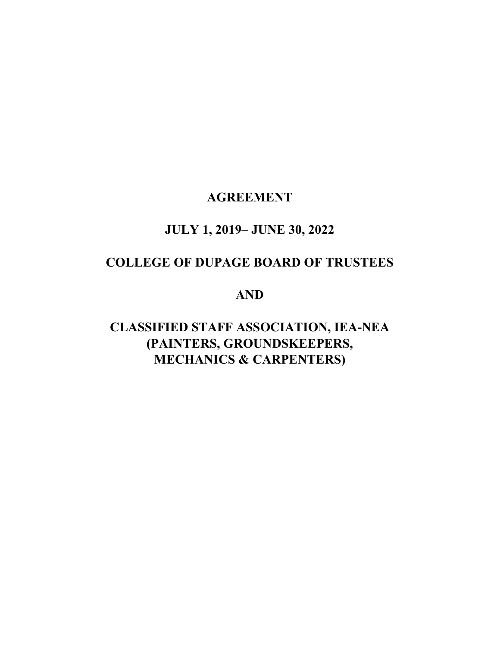# **AGREEMENT**

# **JULY 1, 2019– JUNE 30, 2022**

# **COLLEGE OF DUPAGE BOARD OF TRUSTEES**

## **AND**

# **CLASSIFIED STAFF ASSOCIATION, IEA-NEA (PAINTERS, GROUNDSKEEPERS, MECHANICS & CARPENTERS)**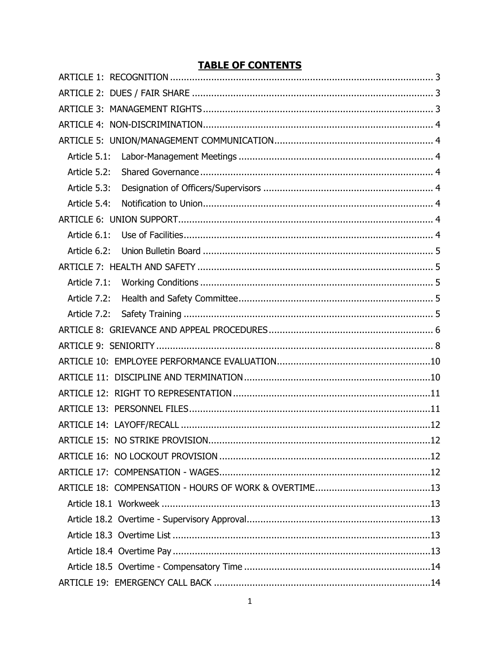## **TABLE OF CONTENTS**

| Article 5.1:                           |
|----------------------------------------|
| Article 5.2:                           |
| Article 5.3:                           |
| Article 5.4:                           |
|                                        |
| Article 6.1:                           |
| Article 6.2:                           |
|                                        |
| Article 7.1:                           |
| Article 7.2:                           |
|                                        |
|                                        |
|                                        |
|                                        |
|                                        |
|                                        |
|                                        |
|                                        |
| ARTICLE 15: NO STRIKE PROVISION<br>.12 |
|                                        |
|                                        |
|                                        |
|                                        |
|                                        |
|                                        |
|                                        |
|                                        |
|                                        |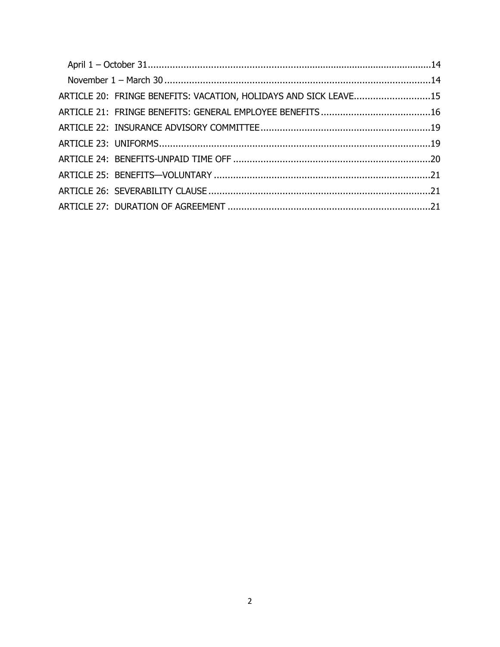| ARTICLE 20: FRINGE BENEFITS: VACATION, HOLIDAYS AND SICK LEAVE15 |  |
|------------------------------------------------------------------|--|
|                                                                  |  |
|                                                                  |  |
|                                                                  |  |
|                                                                  |  |
|                                                                  |  |
|                                                                  |  |
|                                                                  |  |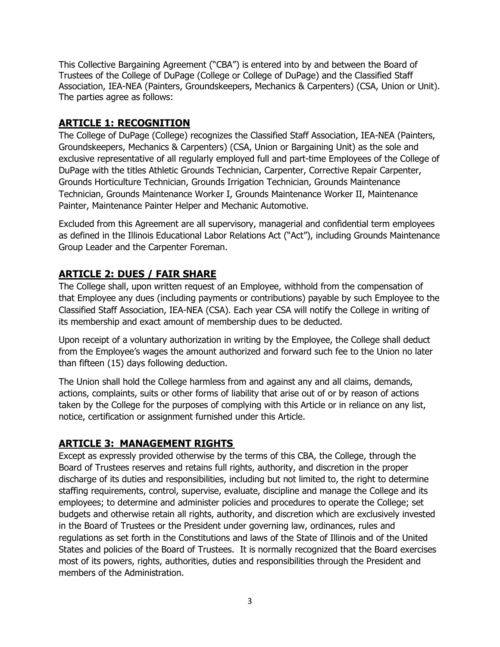This Collective Bargaining Agreement ("CBA") is entered into by and between the Board of Trustees of the College of DuPage (College or College of DuPage) and the Classified Staff Association, IEA-NEA (Painters, Groundskeepers, Mechanics & Carpenters) (CSA, Union or Unit). The parties agree as follows:

## <span id="page-3-0"></span>**ARTICLE 1: RECOGNITION**

The College of DuPage (College) recognizes the Classified Staff Association, IEA-NEA (Painters, Groundskeepers, Mechanics & Carpenters) (CSA, Union or Bargaining Unit) as the sole and exclusive representative of all regularly employed full and part-time Employees of the College of DuPage with the titles Athletic Grounds Technician, Carpenter, Corrective Repair Carpenter, Grounds Horticulture Technician, Grounds Irrigation Technician, Grounds Maintenance Technician, Grounds Maintenance Worker I, Grounds Maintenance Worker II, Maintenance Painter, Maintenance Painter Helper and Mechanic Automotive.

Excluded from this Agreement are all supervisory, managerial and confidential term employees as defined in the Illinois Educational Labor Relations Act ("Act"), including Grounds Maintenance Group Leader and the Carpenter Foreman.

## <span id="page-3-1"></span>**ARTICLE 2: DUES / FAIR SHARE**

The College shall, upon written request of an Employee, withhold from the compensation of that Employee any dues (including payments or contributions) payable by such Employee to the Classified Staff Association, IEA-NEA (CSA). Each year CSA will notify the College in writing of its membership and exact amount of membership dues to be deducted.

Upon receipt of a voluntary authorization in writing by the Employee, the College shall deduct from the Employee's wages the amount authorized and forward such fee to the Union no later than fifteen (15) days following deduction.

The Union shall hold the College harmless from and against any and all claims, demands, actions, complaints, suits or other forms of liability that arise out of or by reason of actions taken by the College for the purposes of complying with this Article or in reliance on any list, notice, certification or assignment furnished under this Article.

## <span id="page-3-2"></span>**ARTICLE 3: MANAGEMENT RIGHTS**

Except as expressly provided otherwise by the terms of this CBA, the College, through the Board of Trustees reserves and retains full rights, authority, and discretion in the proper discharge of its duties and responsibilities, including but not limited to, the right to determine staffing requirements, control, supervise, evaluate, discipline and manage the College and its employees; to determine and administer policies and procedures to operate the College; set budgets and otherwise retain all rights, authority, and discretion which are exclusively invested in the Board of Trustees or the President under governing law, ordinances, rules and regulations as set forth in the Constitutions and laws of the State of Illinois and of the United States and policies of the Board of Trustees. It is normally recognized that the Board exercises most of its powers, rights, authorities, duties and responsibilities through the President and members of the Administration.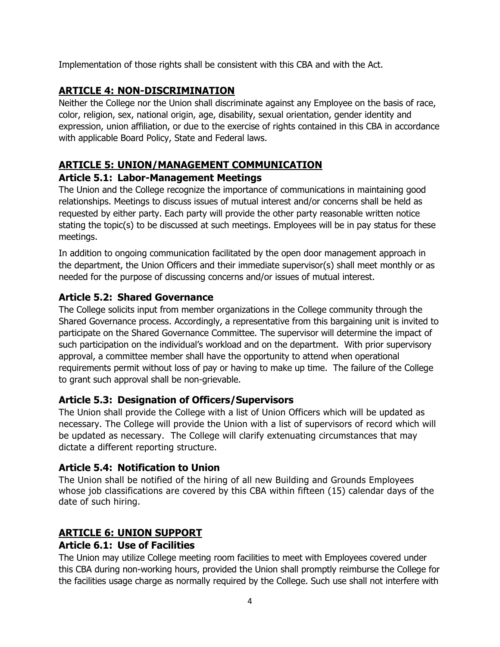<span id="page-4-0"></span>Implementation of those rights shall be consistent with this CBA and with the Act.

## **ARTICLE 4: NON-DISCRIMINATION**

Neither the College nor the Union shall discriminate against any Employee on the basis of race, color, religion, sex, national origin, age, disability, sexual orientation, gender identity and expression, union affiliation, or due to the exercise of rights contained in this CBA in accordance with applicable Board Policy, State and Federal laws.

## <span id="page-4-1"></span>**ARTICLE 5: UNION/MANAGEMENT COMMUNICATION**

#### <span id="page-4-2"></span>**Article 5.1: Labor-Management Meetings**

The Union and the College recognize the importance of communications in maintaining good relationships. Meetings to discuss issues of mutual interest and/or concerns shall be held as requested by either party. Each party will provide the other party reasonable written notice stating the topic(s) to be discussed at such meetings. Employees will be in pay status for these meetings.

In addition to ongoing communication facilitated by the open door management approach in the department, the Union Officers and their immediate supervisor(s) shall meet monthly or as needed for the purpose of discussing concerns and/or issues of mutual interest.

#### <span id="page-4-3"></span>**Article 5.2: Shared Governance**

The College solicits input from member organizations in the College community through the Shared Governance process. Accordingly, a representative from this bargaining unit is invited to participate on the Shared Governance Committee. The supervisor will determine the impact of such participation on the individual's workload and on the department. With prior supervisory approval, a committee member shall have the opportunity to attend when operational requirements permit without loss of pay or having to make up time. The failure of the College to grant such approval shall be non-grievable.

#### <span id="page-4-4"></span>**Article 5.3: Designation of Officers/Supervisors**

The Union shall provide the College with a list of Union Officers which will be updated as necessary. The College will provide the Union with a list of supervisors of record which will be updated as necessary. The College will clarify extenuating circumstances that may dictate a different reporting structure.

#### <span id="page-4-5"></span>**Article 5.4: Notification to Union**

The Union shall be notified of the hiring of all new Building and Grounds Employees whose job classifications are covered by this CBA within fifteen (15) calendar days of the date of such hiring.

## <span id="page-4-6"></span>**ARTICLE 6: UNION SUPPORT**

#### <span id="page-4-7"></span>**Article 6.1: Use of Facilities**

The Union may utilize College meeting room facilities to meet with Employees covered under this CBA during non-working hours, provided the Union shall promptly reimburse the College for the facilities usage charge as normally required by the College. Such use shall not interfere with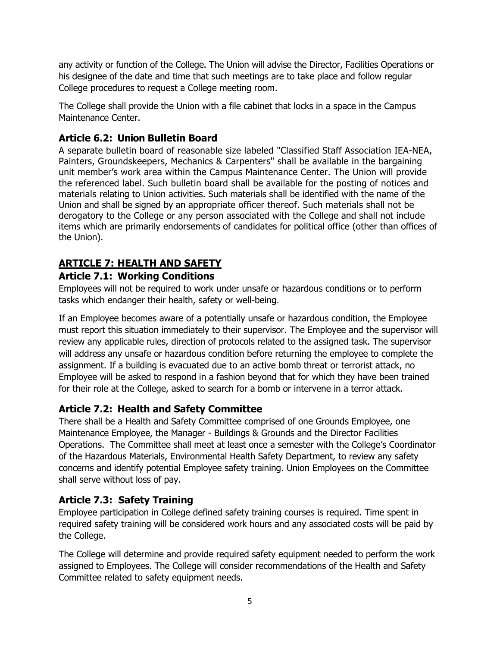any activity or function of the College. The Union will advise the Director, Facilities Operations or his designee of the date and time that such meetings are to take place and follow regular College procedures to request a College meeting room.

The College shall provide the Union with a file cabinet that locks in a space in the Campus Maintenance Center.

## <span id="page-5-0"></span>**Article 6.2: Union Bulletin Board**

A separate bulletin board of reasonable size labeled "Classified Staff Association IEA-NEA, Painters, Groundskeepers, Mechanics & Carpenters" shall be available in the bargaining unit member's work area within the Campus Maintenance Center. The Union will provide the referenced label. Such bulletin board shall be available for the posting of notices and materials relating to Union activities. Such materials shall be identified with the name of the Union and shall be signed by an appropriate officer thereof. Such materials shall not be derogatory to the College or any person associated with the College and shall not include items which are primarily endorsements of candidates for political office (other than offices of the Union).

## <span id="page-5-1"></span>**ARTICLE 7: HEALTH AND SAFETY**

## <span id="page-5-2"></span>**Article 7.1: Working Conditions**

Employees will not be required to work under unsafe or hazardous conditions or to perform tasks which endanger their health, safety or well-being.

If an Employee becomes aware of a potentially unsafe or hazardous condition, the Employee must report this situation immediately to their supervisor. The Employee and the supervisor will review any applicable rules, direction of protocols related to the assigned task. The supervisor will address any unsafe or hazardous condition before returning the employee to complete the assignment. If a building is evacuated due to an active bomb threat or terrorist attack, no Employee will be asked to respond in a fashion beyond that for which they have been trained for their role at the College, asked to search for a bomb or intervene in a terror attack.

## <span id="page-5-3"></span>**Article 7.2: Health and Safety Committee**

There shall be a Health and Safety Committee comprised of one Grounds Employee, one Maintenance Employee, the Manager - Buildings & Grounds and the Director Facilities Operations. The Committee shall meet at least once a semester with the College's Coordinator of the Hazardous Materials, Environmental Health Safety Department, to review any safety concerns and identify potential Employee safety training. Union Employees on the Committee shall serve without loss of pay.

## <span id="page-5-4"></span>**Article 7.3: Safety Training**

Employee participation in College defined safety training courses is required. Time spent in required safety training will be considered work hours and any associated costs will be paid by the College.

The College will determine and provide required safety equipment needed to perform the work assigned to Employees. The College will consider recommendations of the Health and Safety Committee related to safety equipment needs.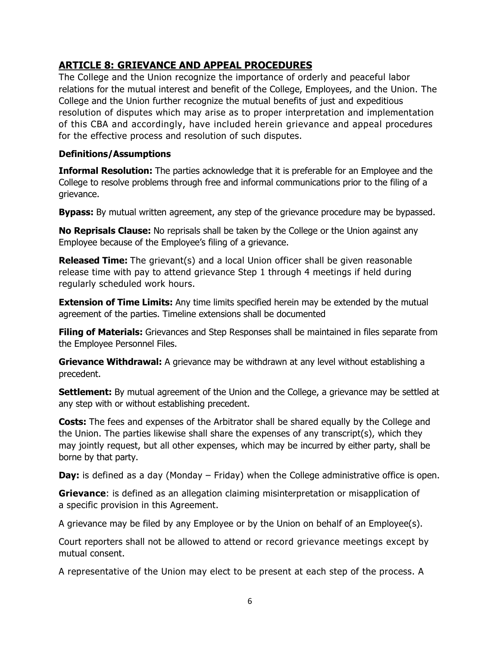#### <span id="page-6-0"></span>**ARTICLE 8: GRIEVANCE AND APPEAL PROCEDURES**

The College and the Union recognize the importance of orderly and peaceful labor relations for the mutual interest and benefit of the College, Employees, and the Union. The College and the Union further recognize the mutual benefits of just and expeditious resolution of disputes which may arise as to proper interpretation and implementation of this CBA and accordingly, have included herein grievance and appeal procedures for the effective process and resolution of such disputes.

#### **Definitions/Assumptions**

**Informal Resolution:** The parties acknowledge that it is preferable for an Employee and the College to resolve problems through free and informal communications prior to the filing of a grievance.

**Bypass:** By mutual written agreement, any step of the grievance procedure may be bypassed.

**No Reprisals Clause:** No reprisals shall be taken by the College or the Union against any Employee because of the Employee's filing of a grievance.

**Released Time:** The grievant(s) and a local Union officer shall be given reasonable release time with pay to attend grievance Step 1 through 4 meetings if held during regularly scheduled work hours.

**Extension of Time Limits:** Any time limits specified herein may be extended by the mutual agreement of the parties. Timeline extensions shall be documented

**Filing of Materials:** Grievances and Step Responses shall be maintained in files separate from the Employee Personnel Files.

**Grievance Withdrawal:** A grievance may be withdrawn at any level without establishing a precedent.

**Settlement:** By mutual agreement of the Union and the College, a grievance may be settled at any step with or without establishing precedent.

**Costs:** The fees and expenses of the Arbitrator shall be shared equally by the College and the Union. The parties likewise shall share the expenses of any transcript(s), which they may jointly request, but all other expenses, which may be incurred by either party, shall be borne by that party.

**Day:** is defined as a day (Monday – Friday) when the College administrative office is open.

**Grievance**: is defined as an allegation claiming misinterpretation or misapplication of a specific provision in this Agreement.

A grievance may be filed by any Employee or by the Union on behalf of an Employee(s).

Court reporters shall not be allowed to attend or record grievance meetings except by mutual consent.

A representative of the Union may elect to be present at each step of the process. A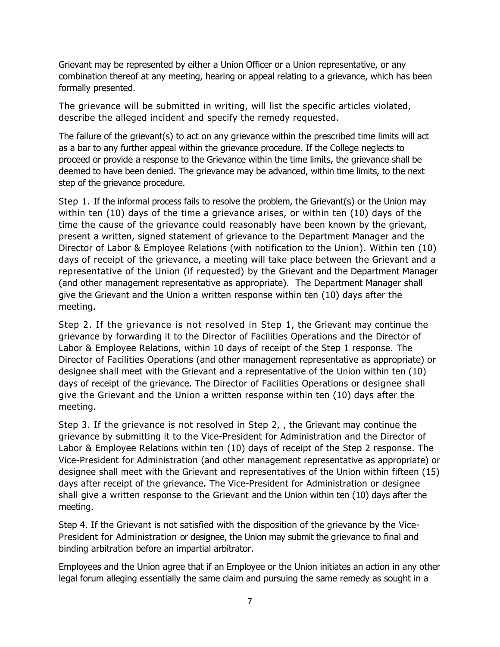Grievant may be represented by either a Union Officer or a Union representative, or any combination thereof at any meeting, hearing or appeal relating to a grievance, which has been formally presented.

The grievance will be submitted in writing, will list the specific articles violated, describe the alleged incident and specify the remedy requested.

The failure of the grievant(s) to act on any grievance within the prescribed time limits will act as a bar to any further appeal within the grievance procedure. If the College neglects to proceed or provide a response to the Grievance within the time limits, the grievance shall be deemed to have been denied. The grievance may be advanced, within time limits, to the next step of the grievance procedure.

Step 1. If the informal process fails to resolve the problem, the Grievant(s) or the Union may within ten (10) days of the time a grievance arises, or within ten (10) days of the time the cause of the grievance could reasonably have been known by the grievant, present a written, signed statement of grievance to the Department Manager and the Director of Labor & Employee Relations (with notification to the Union). Within ten (10) days of receipt of the grievance, a meeting will take place between the Grievant and a representative of the Union (if requested) by the Grievant and the Department Manager (and other management representative as appropriate). The Department Manager shall give the Grievant and the Union a written response within ten (10) days after the meeting.

Step 2. If the grievance is not resolved in Step 1, the Grievant may continue the grievance by forwarding it to the Director of Facilities Operations and the Director of Labor & Employee Relations, within 10 days of receipt of the Step 1 response. The Director of Facilities Operations (and other management representative as appropriate) or designee shall meet with the Grievant and a representative of the Union within ten (10) days of receipt of the grievance. The Director of Facilities Operations or designee shall give the Grievant and the Union a written response within ten (10) days after the meeting.

Step 3. If the grievance is not resolved in Step 2, , the Grievant may continue the grievance by submitting it to the Vice-President for Administration and the Director of Labor & Employee Relations within ten (10) days of receipt of the Step 2 response. The Vice-President for Administration (and other management representative as appropriate) or designee shall meet with the Grievant and representatives of the Union within fifteen (15) days after receipt of the grievance. The Vice-President for Administration or designee shall give a written response to the Grievant and the Union within ten (10) days after the meeting.

Step 4. If the Grievant is not satisfied with the disposition of the grievance by the Vice-President for Administration or designee, the Union may submit the grievance to final and binding arbitration before an impartial arbitrator.

Employees and the Union agree that if an Employee or the Union initiates an action in any other legal forum alleging essentially the same claim and pursuing the same remedy as sought in a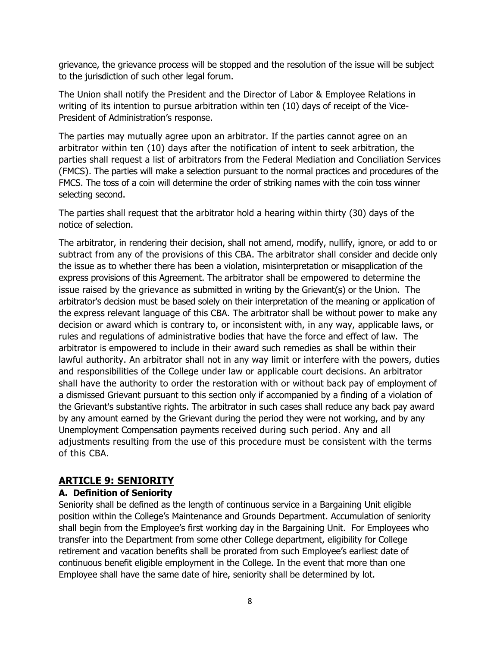grievance, the grievance process will be stopped and the resolution of the issue will be subject to the jurisdiction of such other legal forum.

The Union shall notify the President and the Director of Labor & Employee Relations in writing of its intention to pursue arbitration within ten (10) days of receipt of the Vice-President of Administration's response.

The parties may mutually agree upon an arbitrator. If the parties cannot agree on an arbitrator within ten (10) days after the notification of intent to seek arbitration, the parties shall request a list of arbitrators from the Federal Mediation and Conciliation Services (FMCS). The parties will make a selection pursuant to the normal practices and procedures of the FMCS. The toss of a coin will determine the order of striking names with the coin toss winner selecting second.

The parties shall request that the arbitrator hold a hearing within thirty (30) days of the notice of selection.

The arbitrator, in rendering their decision, shall not amend, modify, nullify, ignore, or add to or subtract from any of the provisions of this CBA. The arbitrator shall consider and decide only the issue as to whether there has been a violation, misinterpretation or misapplication of the express provisions of this Agreement. The arbitrator shall be empowered to determine the issue raised by the grievance as submitted in writing by the Grievant(s) or the Union. The arbitrator's decision must be based solely on their interpretation of the meaning or application of the express relevant language of this CBA. The arbitrator shall be without power to make any decision or award which is contrary to, or inconsistent with, in any way, applicable laws, or rules and regulations of administrative bodies that have the force and effect of law. The arbitrator is empowered to include in their award such remedies as shall be within their lawful authority. An arbitrator shall not in any way limit or interfere with the powers, duties and responsibilities of the College under law or applicable court decisions. An arbitrator shall have the authority to order the restoration with or without back pay of employment of a dismissed Grievant pursuant to this section only if accompanied by a finding of a violation of the Grievant's substantive rights. The arbitrator in such cases shall reduce any back pay award by any amount earned by the Grievant during the period they were not working, and by any Unemployment Compensation payments received during such period. Any and all adjustments resulting from the use of this procedure must be consistent with the terms of this CBA.

#### <span id="page-8-0"></span>**ARTICLE 9: SENIORITY**

#### **A. Definition of Seniority**

Seniority shall be defined as the length of continuous service in a Bargaining Unit eligible position within the College's Maintenance and Grounds Department. Accumulation of seniority shall begin from the Employee's first working day in the Bargaining Unit. For Employees who transfer into the Department from some other College department, eligibility for College retirement and vacation benefits shall be prorated from such Employee's earliest date of continuous benefit eligible employment in the College. In the event that more than one Employee shall have the same date of hire, seniority shall be determined by lot.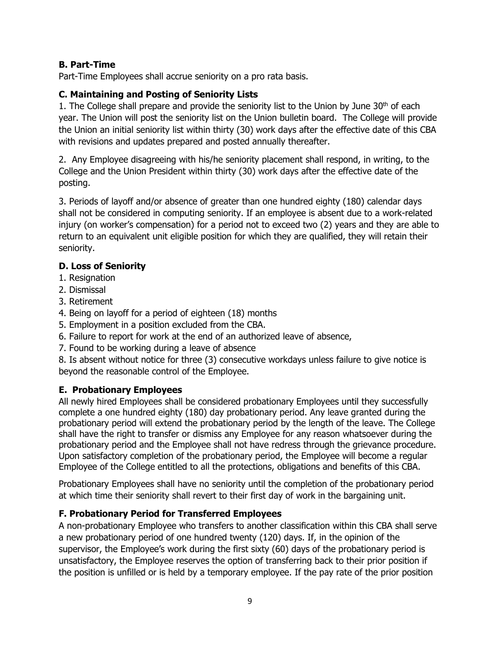#### **B. Part-Time**

Part-Time Employees shall accrue seniority on a pro rata basis.

#### **C. Maintaining and Posting of Seniority Lists**

1. The College shall prepare and provide the seniority list to the Union by June  $30<sup>th</sup>$  of each year. The Union will post the seniority list on the Union bulletin board. The College will provide the Union an initial seniority list within thirty (30) work days after the effective date of this CBA with revisions and updates prepared and posted annually thereafter.

2. Any Employee disagreeing with his/he seniority placement shall respond, in writing, to the College and the Union President within thirty (30) work days after the effective date of the posting.

3. Periods of layoff and/or absence of greater than one hundred eighty (180) calendar days shall not be considered in computing seniority. If an employee is absent due to a work-related injury (on worker's compensation) for a period not to exceed two (2) years and they are able to return to an equivalent unit eligible position for which they are qualified, they will retain their seniority.

#### **D. Loss of Seniority**

- 1. Resignation
- 2. Dismissal
- 3. Retirement
- 4. Being on layoff for a period of eighteen (18) months
- 5. Employment in a position excluded from the CBA.
- 6. Failure to report for work at the end of an authorized leave of absence,
- 7. Found to be working during a leave of absence

8. Is absent without notice for three (3) consecutive workdays unless failure to give notice is beyond the reasonable control of the Employee.

#### **E. Probationary Employees**

All newly hired Employees shall be considered probationary Employees until they successfully complete a one hundred eighty (180) day probationary period. Any leave granted during the probationary period will extend the probationary period by the length of the leave. The College shall have the right to transfer or dismiss any Employee for any reason whatsoever during the probationary period and the Employee shall not have redress through the grievance procedure. Upon satisfactory completion of the probationary period, the Employee will become a regular Employee of the College entitled to all the protections, obligations and benefits of this CBA.

Probationary Employees shall have no seniority until the completion of the probationary period at which time their seniority shall revert to their first day of work in the bargaining unit.

#### **F. Probationary Period for Transferred Employees**

A non-probationary Employee who transfers to another classification within this CBA shall serve a new probationary period of one hundred twenty (120) days. If, in the opinion of the supervisor, the Employee's work during the first sixty (60) days of the probationary period is unsatisfactory, the Employee reserves the option of transferring back to their prior position if the position is unfilled or is held by a temporary employee. If the pay rate of the prior position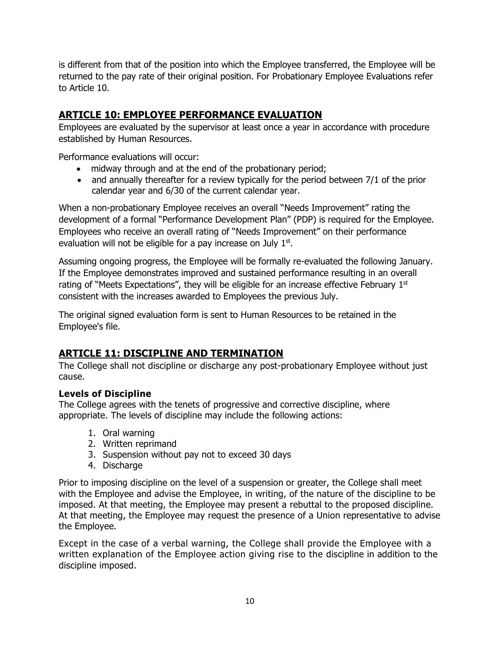is different from that of the position into which the Employee transferred, the Employee will be returned to the pay rate of their original position. For Probationary Employee Evaluations refer to Article 10.

## <span id="page-10-0"></span>**ARTICLE 10: EMPLOYEE PERFORMANCE EVALUATION**

Employees are evaluated by the supervisor at least once a year in accordance with procedure established by Human Resources.

Performance evaluations will occur:

- midway through and at the end of the probationary period;
- and annually thereafter for a review typically for the period between 7/1 of the prior calendar year and 6/30 of the current calendar year.

When a non-probationary Employee receives an overall "Needs Improvement" rating the development of a formal "Performance Development Plan" (PDP) is required for the Employee. Employees who receive an overall rating of "Needs Improvement" on their performance evaluation will not be eligible for a pay increase on July  $1<sup>st</sup>$ .

Assuming ongoing progress, the Employee will be formally re-evaluated the following January. If the Employee demonstrates improved and sustained performance resulting in an overall rating of "Meets Expectations", they will be eligible for an increase effective February 1st consistent with the increases awarded to Employees the previous July.

The original signed evaluation form is sent to Human Resources to be retained in the Employee's file.

## <span id="page-10-1"></span>**ARTICLE 11: DISCIPLINE AND TERMINATION**

The College shall not discipline or discharge any post-probationary Employee without just cause.

#### **Levels of Discipline**

The College agrees with the tenets of progressive and corrective discipline, where appropriate. The levels of discipline may include the following actions:

- 1. Oral warning
- 2. Written reprimand
- 3. Suspension without pay not to exceed 30 days
- 4. Discharge

Prior to imposing discipline on the level of a suspension or greater, the College shall meet with the Employee and advise the Employee, in writing, of the nature of the discipline to be imposed. At that meeting, the Employee may present a rebuttal to the proposed discipline. At that meeting, the Employee may request the presence of a Union representative to advise the Employee.

Except in the case of a verbal warning, the College shall provide the Employee with a written explanation of the Employee action giving rise to the discipline in addition to the discipline imposed.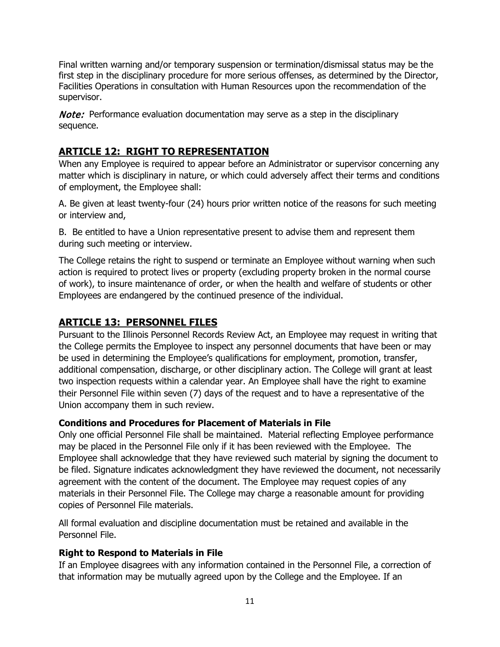Final written warning and/or temporary suspension or termination/dismissal status may be the first step in the disciplinary procedure for more serious offenses, as determined by the Director, Facilities Operations in consultation with Human Resources upon the recommendation of the supervisor.

**Note:** Performance evaluation documentation may serve as a step in the disciplinary sequence.

## <span id="page-11-0"></span>**ARTICLE 12: RIGHT TO REPRESENTATION**

When any Employee is required to appear before an Administrator or supervisor concerning any matter which is disciplinary in nature, or which could adversely affect their terms and conditions of employment, the Employee shall:

A. Be given at least twenty-four (24) hours prior written notice of the reasons for such meeting or interview and,

B. Be entitled to have a Union representative present to advise them and represent them during such meeting or interview.

The College retains the right to suspend or terminate an Employee without warning when such action is required to protect lives or property (excluding property broken in the normal course of work), to insure maintenance of order, or when the health and welfare of students or other Employees are endangered by the continued presence of the individual.

## <span id="page-11-1"></span>**ARTICLE 13: PERSONNEL FILES**

Pursuant to the Illinois Personnel Records Review Act, an Employee may request in writing that the College permits the Employee to inspect any personnel documents that have been or may be used in determining the Employee's qualifications for employment, promotion, transfer, additional compensation, discharge, or other disciplinary action. The College will grant at least two inspection requests within a calendar year. An Employee shall have the right to examine their Personnel File within seven (7) days of the request and to have a representative of the Union accompany them in such review.

#### **Conditions and Procedures for Placement of Materials in File**

Only one official Personnel File shall be maintained. Material reflecting Employee performance may be placed in the Personnel File only if it has been reviewed with the Employee. The Employee shall acknowledge that they have reviewed such material by signing the document to be filed. Signature indicates acknowledgment they have reviewed the document, not necessarily agreement with the content of the document. The Employee may request copies of any materials in their Personnel File. The College may charge a reasonable amount for providing copies of Personnel File materials.

All formal evaluation and discipline documentation must be retained and available in the Personnel File.

#### **Right to Respond to Materials in File**

If an Employee disagrees with any information contained in the Personnel File, a correction of that information may be mutually agreed upon by the College and the Employee. If an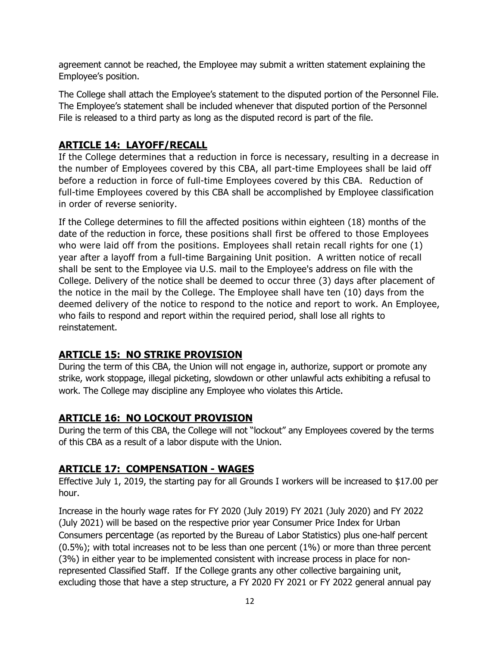agreement cannot be reached, the Employee may submit a written statement explaining the Employee's position.

The College shall attach the Employee's statement to the disputed portion of the Personnel File. The Employee's statement shall be included whenever that disputed portion of the Personnel File is released to a third party as long as the disputed record is part of the file.

## <span id="page-12-0"></span>**ARTICLE 14: LAYOFF/RECALL**

If the College determines that a reduction in force is necessary, resulting in a decrease in the number of Employees covered by this CBA, all part-time Employees shall be laid off before a reduction in force of full-time Employees covered by this CBA. Reduction of full-time Employees covered by this CBA shall be accomplished by Employee classification in order of reverse seniority.

If the College determines to fill the affected positions within eighteen (18) months of the date of the reduction in force, these positions shall first be offered to those Employees who were laid off from the positions. Employees shall retain recall rights for one (1) year after a layoff from a full-time Bargaining Unit position. A written notice of recall shall be sent to the Employee via U.S. mail to the Employee's address on file with the College. Delivery of the notice shall be deemed to occur three (3) days after placement of the notice in the mail by the College. The Employee shall have ten (10) days from the deemed delivery of the notice to respond to the notice and report to work. An Employee, who fails to respond and report within the required period, shall lose all rights to reinstatement.

## <span id="page-12-1"></span>**ARTICLE 15: NO STRIKE PROVISION**

During the term of this CBA, the Union will not engage in, authorize, support or promote any strike, work stoppage, illegal picketing, slowdown or other unlawful acts exhibiting a refusal to work. The College may discipline any Employee who violates this Article.

## <span id="page-12-2"></span>**ARTICLE 16: NO LOCKOUT PROVISION**

During the term of this CBA, the College will not "lockout" any Employees covered by the terms of this CBA as a result of a labor dispute with the Union.

## <span id="page-12-3"></span>**ARTICLE 17: COMPENSATION - WAGES**

Effective July 1, 2019, the starting pay for all Grounds I workers will be increased to \$17.00 per hour.

Increase in the hourly wage rates for FY 2020 (July 2019) FY 2021 (July 2020) and FY 2022 (July 2021) will be based on the respective prior year Consumer Price Index for Urban Consumers percentage (as reported by the Bureau of Labor Statistics) plus one-half percent (0.5%); with total increases not to be less than one percent (1%) or more than three percent (3%) in either year to be implemented consistent with increase process in place for nonrepresented Classified Staff. If the College grants any other collective bargaining unit, excluding those that have a step structure, a FY 2020 FY 2021 or FY 2022 general annual pay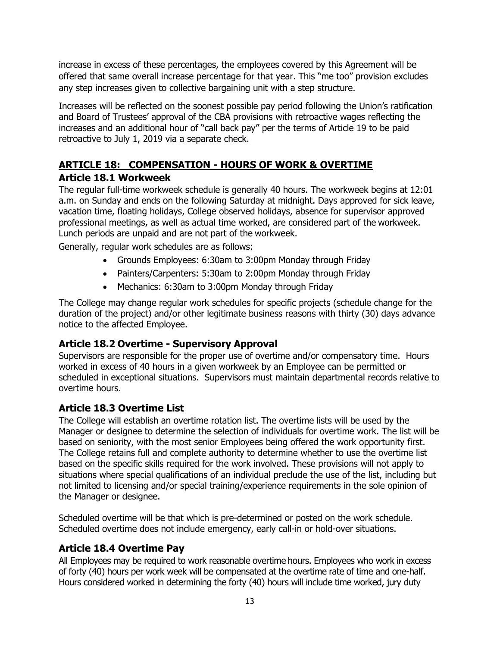increase in excess of these percentages, the employees covered by this Agreement will be offered that same overall increase percentage for that year. This "me too" provision excludes any step increases given to collective bargaining unit with a step structure.

Increases will be reflected on the soonest possible pay period following the Union's ratification and Board of Trustees' approval of the CBA provisions with retroactive wages reflecting the increases and an additional hour of "call back pay" per the terms of Article 19 to be paid retroactive to July 1, 2019 via a separate check.

## <span id="page-13-0"></span>**ARTICLE 18: COMPENSATION - HOURS OF WORK & OVERTIME Article 18.1 Workweek**

<span id="page-13-1"></span>The regular full-time workweek schedule is generally 40 hours. The workweek begins at 12:01 a.m. on Sunday and ends on the following Saturday at midnight. Days approved for sick leave, vacation time, floating holidays, College observed holidays, absence for supervisor approved professional meetings, as well as actual time worked, are considered part of the workweek. Lunch periods are unpaid and are not part of the workweek.

Generally, regular work schedules are as follows:

- Grounds Employees: 6:30am to 3:00pm Monday through Friday
- Painters/Carpenters: 5:30am to 2:00pm Monday through Friday
- Mechanics: 6:30am to 3:00pm Monday through Friday

The College may change regular work schedules for specific projects (schedule change for the duration of the project) and/or other legitimate business reasons with thirty (30) days advance notice to the affected Employee.

#### <span id="page-13-2"></span>**Article 18.2 Overtime - Supervisory Approval**

Supervisors are responsible for the proper use of overtime and/or compensatory time. Hours worked in excess of 40 hours in a given workweek by an Employee can be permitted or scheduled in exceptional situations. Supervisors must maintain departmental records relative to overtime hours.

## <span id="page-13-3"></span>**Article 18.3 Overtime List**

The College will establish an overtime rotation list. The overtime lists will be used by the Manager or designee to determine the selection of individuals for overtime work. The list will be based on seniority, with the most senior Employees being offered the work opportunity first. The College retains full and complete authority to determine whether to use the overtime list based on the specific skills required for the work involved. These provisions will not apply to situations where special qualifications of an individual preclude the use of the list, including but not limited to licensing and/or special training/experience requirements in the sole opinion of the Manager or designee.

Scheduled overtime will be that which is pre-determined or posted on the work schedule. Scheduled overtime does not include emergency, early call-in or hold-over situations.

#### <span id="page-13-4"></span>**Article 18.4 Overtime Pay**

All Employees may be required to work reasonable overtime hours. Employees who work in excess of forty (40) hours per work week will be compensated at the overtime rate of time and one-half. Hours considered worked in determining the forty (40) hours will include time worked, jury duty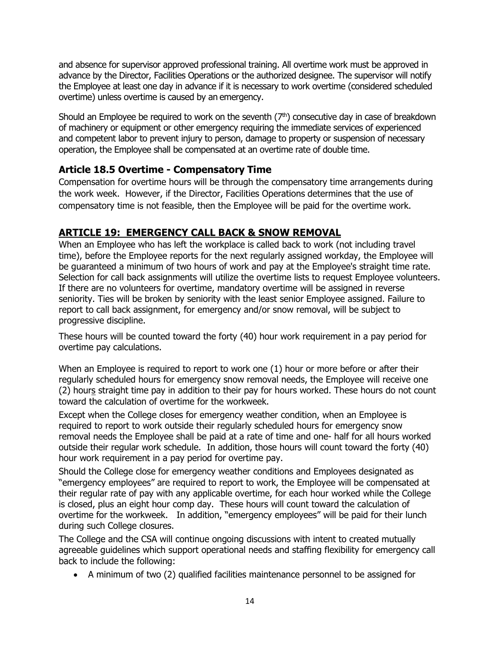and absence for supervisor approved professional training. All overtime work must be approved in advance by the Director, Facilities Operations or the authorized designee. The supervisor will notify the Employee at least one day in advance if it is necessary to work overtime (considered scheduled overtime) unless overtime is caused by an emergency.

Should an Employee be required to work on the seventh  $(7<sup>th</sup>)$  consecutive day in case of breakdown of machinery or equipment or other emergency requiring the immediate services of experienced and competent labor to prevent injury to person, damage to property or suspension of necessary operation, the Employee shall be compensated at an overtime rate of double time.

## <span id="page-14-0"></span>**Article 18.5 Overtime - Compensatory Time**

Compensation for overtime hours will be through the compensatory time arrangements during the work week. However, if the Director, Facilities Operations determines that the use of compensatory time is not feasible, then the Employee will be paid for the overtime work.

## <span id="page-14-1"></span>**ARTICLE 19: EMERGENCY CALL BACK & SNOW REMOVAL**

When an Employee who has left the workplace is called back to work (not including travel time), before the Employee reports for the next regularly assigned workday, the Employee will be guaranteed a minimum of two hours of work and pay at the Employee's straight time rate. Selection for call back assignments will utilize the overtime lists to request Employee volunteers. If there are no volunteers for overtime, mandatory overtime will be assigned in reverse seniority. Ties will be broken by seniority with the least senior Employee assigned. Failure to report to call back assignment, for emergency and/or snow removal, will be subject to progressive discipline.

These hours will be counted toward the forty (40) hour work requirement in a pay period for overtime pay calculations.

When an Employee is required to report to work one (1) hour or more before or after their regularly scheduled hours for emergency snow removal needs, the Employee will receive one (2) hours straight time pay in addition to their pay for hours worked. These hours do not count toward the calculation of overtime for the workweek.

Except when the College closes for emergency weather condition, when an Employee is required to report to work outside their regularly scheduled hours for emergency snow removal needs the Employee shall be paid at a rate of time and one- half for all hours worked outside their regular work schedule. In addition, those hours will count toward the forty (40) hour work requirement in a pay period for overtime pay.

Should the College close for emergency weather conditions and Employees designated as "emergency employees" are required to report to work, the Employee will be compensated at their regular rate of pay with any applicable overtime, for each hour worked while the College is closed, plus an eight hour comp day. These hours will count toward the calculation of overtime for the workweek. In addition, "emergency employees" will be paid for their lunch during such College closures.

The College and the CSA will continue ongoing discussions with intent to created mutually agreeable guidelines which support operational needs and staffing flexibility for emergency call back to include the following:

• A minimum of two (2) qualified facilities maintenance personnel to be assigned for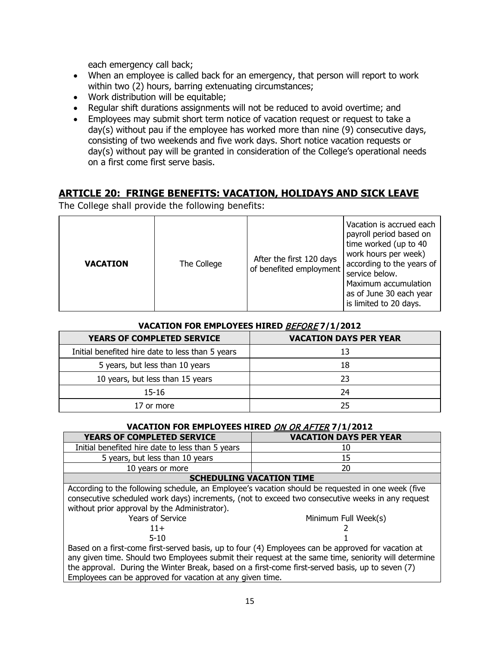each emergency call back;

- When an employee is called back for an emergency, that person will report to work within two (2) hours, barring extenuating circumstances;
- Work distribution will be equitable;
- Regular shift durations assignments will not be reduced to avoid overtime; and
- Employees may submit short term notice of vacation request or request to take a day(s) without pau if the employee has worked more than nine (9) consecutive days, consisting of two weekends and five work days. Short notice vacation requests or day(s) without pay will be granted in consideration of the College's operational needs on a first come first serve basis.

#### <span id="page-15-0"></span>**ARTICLE 20: FRINGE BENEFITS: VACATION, HOLIDAYS AND SICK LEAVE**

The College shall provide the following benefits:

| <b>VACATION</b> | The College | After the first 120 days<br>of benefited employment | Vacation is accrued each<br>payroll period based on<br>time worked (up to 40<br>work hours per week)<br>according to the years of<br>service below.<br>Maximum accumulation<br>as of June 30 each year<br>is limited to 20 days. |
|-----------------|-------------|-----------------------------------------------------|----------------------------------------------------------------------------------------------------------------------------------------------------------------------------------------------------------------------------------|
|-----------------|-------------|-----------------------------------------------------|----------------------------------------------------------------------------------------------------------------------------------------------------------------------------------------------------------------------------------|

#### **VACATION FOR EMPLOYEES HIRED** BEFORE **7/1/2012**

| <b>YEARS OF COMPLETED SERVICE</b>                | <b>VACATION DAYS PER YEAR</b> |
|--------------------------------------------------|-------------------------------|
| Initial benefited hire date to less than 5 years | 13                            |
| 5 years, but less than 10 years                  | 18                            |
| 10 years, but less than 15 years                 | 23                            |
| 15-16                                            | 24                            |
| 17 or more                                       | 25                            |

#### **VACATION FOR EMPLOYEES HIRED** ON OR AFTER **7/1/2012**

| <b>YEARS OF COMPLETED SERVICE</b>                | <b>VACATION DAYS PER YEAR</b> |  |  |
|--------------------------------------------------|-------------------------------|--|--|
| Initial benefited hire date to less than 5 years | 10                            |  |  |
| 5 years, but less than 10 years                  |                               |  |  |
| 10 years or more                                 | 20                            |  |  |
| <b>COULDING MACATION TIME</b>                    |                               |  |  |

#### **SCHEDULING VACATION TIME**

According to the following schedule, an Employee's vacation should be requested in one week (five consecutive scheduled work days) increments, (not to exceed two consecutive weeks in any request without prior approval by the Administrator).

|  |  | <b>Years of Service</b> |
|--|--|-------------------------|
|--|--|-------------------------|



Minimum Full Week(s)

 $5-10$  1 Based on a first-come first-served basis, up to four (4) Employees can be approved for vacation at any given time. Should two Employees submit their request at the same time, seniority will determine the approval. During the Winter Break, based on a first-come first-served basis, up to seven (7) Employees can be approved for vacation at any given time.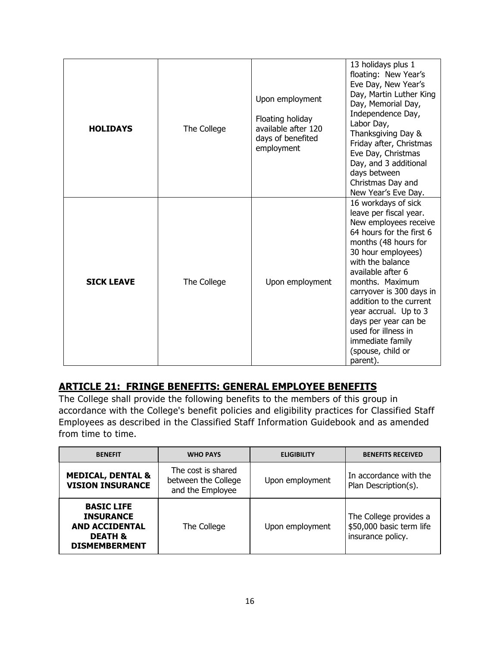| <b>HOLIDAYS</b>   | The College | Upon employment<br>Floating holiday<br>available after 120<br>days of benefited<br>employment | 13 holidays plus 1<br>floating: New Year's<br>Eve Day, New Year's<br>Day, Martin Luther King<br>Day, Memorial Day,<br>Independence Day,<br>Labor Day,<br>Thanksgiving Day &<br>Friday after, Christmas<br>Eve Day, Christmas<br>Day, and 3 additional<br>days between<br>Christmas Day and<br>New Year's Eve Day.                                                                                |
|-------------------|-------------|-----------------------------------------------------------------------------------------------|--------------------------------------------------------------------------------------------------------------------------------------------------------------------------------------------------------------------------------------------------------------------------------------------------------------------------------------------------------------------------------------------------|
| <b>SICK LEAVE</b> | The College | Upon employment                                                                               | 16 workdays of sick<br>leave per fiscal year.<br>New employees receive<br>64 hours for the first 6<br>months (48 hours for<br>30 hour employees)<br>with the balance<br>available after 6<br>months. Maximum<br>carryover is 300 days in<br>addition to the current<br>year accrual. Up to 3<br>days per year can be<br>used for illness in<br>immediate family<br>(spouse, child or<br>parent). |

#### <span id="page-16-0"></span>**ARTICLE 21: FRINGE BENEFITS: GENERAL EMPLOYEE BENEFITS**

The College shall provide the following benefits to the members of this group in accordance with the College's benefit policies and eligibility practices for Classified Staff Employees as described in the Classified Staff Information Guidebook and as amended from time to time.

| <b>BENEFIT</b>                                                                                               | <b>WHO PAYS</b>                                               | <b>ELIGIBILITY</b> | <b>BENEFITS RECEIVED</b>                                                |
|--------------------------------------------------------------------------------------------------------------|---------------------------------------------------------------|--------------------|-------------------------------------------------------------------------|
| <b>MEDICAL, DENTAL &amp;</b><br><b>VISION INSURANCE</b>                                                      | The cost is shared<br>between the College<br>and the Employee | Upon employment    | In accordance with the<br>Plan Description(s).                          |
| <b>BASIC LIFE</b><br><b>INSURANCE</b><br><b>AND ACCIDENTAL</b><br><b>DEATH &amp;</b><br><b>DISMEMBERMENT</b> | The College                                                   | Upon employment    | The College provides a<br>\$50,000 basic term life<br>insurance policy. |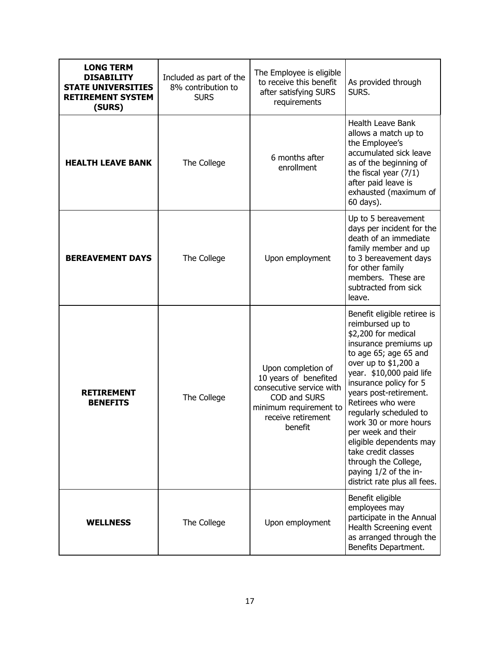| <b>LONG TERM</b><br><b>DISABILITY</b><br><b>STATE UNIVERSITIES</b><br><b>RETIREMENT SYSTEM</b><br>(SURS) | Included as part of the<br>8% contribution to<br><b>SURS</b> | The Employee is eligible<br>to receive this benefit<br>after satisfying SURS<br>requirements                                                       | As provided through<br>SURS.                                                                                                                                                                                                                                                                                                                                                                                                                                      |
|----------------------------------------------------------------------------------------------------------|--------------------------------------------------------------|----------------------------------------------------------------------------------------------------------------------------------------------------|-------------------------------------------------------------------------------------------------------------------------------------------------------------------------------------------------------------------------------------------------------------------------------------------------------------------------------------------------------------------------------------------------------------------------------------------------------------------|
| <b>HEALTH LEAVE BANK</b>                                                                                 | The College                                                  | 6 months after<br>enrollment                                                                                                                       | <b>Health Leave Bank</b><br>allows a match up to<br>the Employee's<br>accumulated sick leave<br>as of the beginning of<br>the fiscal year $(7/1)$<br>after paid leave is<br>exhausted (maximum of<br>60 days).                                                                                                                                                                                                                                                    |
| <b>BEREAVEMENT DAYS</b>                                                                                  | The College                                                  | Upon employment                                                                                                                                    | Up to 5 bereavement<br>days per incident for the<br>death of an immediate<br>family member and up<br>to 3 bereavement days<br>for other family<br>members. These are<br>subtracted from sick<br>leave.                                                                                                                                                                                                                                                            |
| <b>RETIREMENT</b><br><b>BENEFITS</b>                                                                     | The College                                                  | Upon completion of<br>10 years of benefited<br>consecutive service with<br>COD and SURS<br>minimum requirement to<br>receive retirement<br>benefit | Benefit eligible retiree is<br>reimbursed up to<br>\$2,200 for medical<br>insurance premiums up<br>to age 65; age 65 and<br>over up to \$1,200 a<br>year. \$10,000 paid life<br>insurance policy for 5<br>years post-retirement.<br>Retirees who were<br>regularly scheduled to<br>work 30 or more hours<br>per week and their<br>eligible dependents may<br>take credit classes<br>through the College,<br>paying 1/2 of the in-<br>district rate plus all fees. |
| <b>WELLNESS</b>                                                                                          | The College                                                  | Upon employment                                                                                                                                    | Benefit eligible<br>employees may<br>participate in the Annual<br>Health Screening event<br>as arranged through the<br>Benefits Department.                                                                                                                                                                                                                                                                                                                       |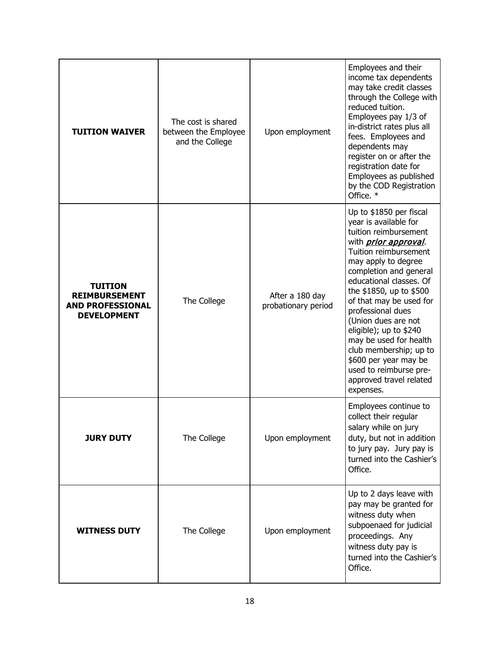| <b>TUITION WAIVER</b>                                                                   | The cost is shared<br>between the Employee<br>and the College | Upon employment                        | Employees and their<br>income tax dependents<br>may take credit classes<br>through the College with<br>reduced tuition.<br>Employees pay 1/3 of<br>in-district rates plus all<br>fees. Employees and<br>dependents may<br>register on or after the<br>registration date for<br>Employees as published<br>by the COD Registration<br>Office. *                                                                                                                                             |
|-----------------------------------------------------------------------------------------|---------------------------------------------------------------|----------------------------------------|-------------------------------------------------------------------------------------------------------------------------------------------------------------------------------------------------------------------------------------------------------------------------------------------------------------------------------------------------------------------------------------------------------------------------------------------------------------------------------------------|
| <b>TUITION</b><br><b>REIMBURSEMENT</b><br><b>AND PROFESSIONAL</b><br><b>DEVELOPMENT</b> | The College                                                   | After a 180 day<br>probationary period | Up to \$1850 per fiscal<br>year is available for<br>tuition reimbursement<br>with <i>prior approval</i> .<br>Tuition reimbursement<br>may apply to degree<br>completion and general<br>educational classes. Of<br>the \$1850, up to \$500<br>of that may be used for<br>professional dues<br>(Union dues are not<br>eligible); up to \$240<br>may be used for health<br>club membership; up to<br>\$600 per year may be<br>used to reimburse pre-<br>approved travel related<br>expenses. |
| <b>JURY DUTY</b>                                                                        | The College                                                   | Upon employment                        | Employees continue to<br>collect their regular<br>salary while on jury<br>duty, but not in addition<br>to jury pay. Jury pay is<br>turned into the Cashier's<br>Office.                                                                                                                                                                                                                                                                                                                   |
| <b>WITNESS DUTY</b>                                                                     | The College                                                   | Upon employment                        | Up to 2 days leave with<br>pay may be granted for<br>witness duty when<br>subpoenaed for judicial<br>proceedings. Any<br>witness duty pay is<br>turned into the Cashier's<br>Office.                                                                                                                                                                                                                                                                                                      |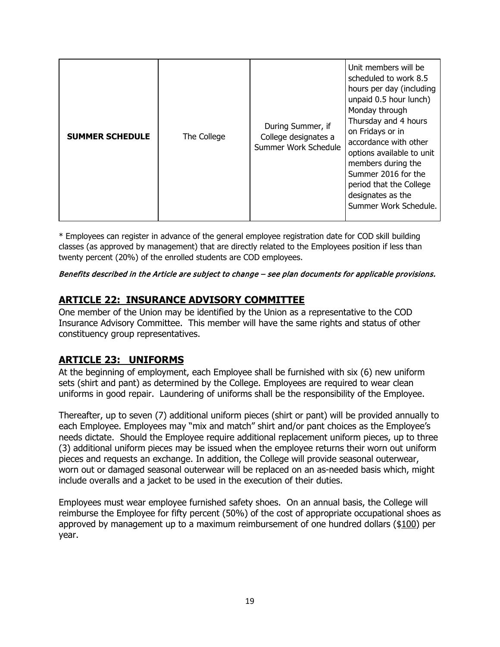| <b>SUMMER SCHEDULE</b> | The College | During Summer, if<br>College designates a<br>Summer Work Schedule | Unit members will be<br>scheduled to work 8.5<br>hours per day (including<br>unpaid 0.5 hour lunch)<br>Monday through<br>Thursday and 4 hours<br>on Fridays or in<br>accordance with other<br>options available to unit<br>members during the<br>Summer 2016 for the<br>period that the College<br>designates as the<br>Summer Work Schedule. |
|------------------------|-------------|-------------------------------------------------------------------|-----------------------------------------------------------------------------------------------------------------------------------------------------------------------------------------------------------------------------------------------------------------------------------------------------------------------------------------------|
|------------------------|-------------|-------------------------------------------------------------------|-----------------------------------------------------------------------------------------------------------------------------------------------------------------------------------------------------------------------------------------------------------------------------------------------------------------------------------------------|

\* Employees can register in advance of the general employee registration date for COD skill building classes (as approved by management) that are directly related to the Employees position if less than twenty percent (20%) of the enrolled students are COD employees.

#### Benefits described in the Article are subject to change – see plan documents for applicable provisions.

#### <span id="page-19-0"></span>**ARTICLE 22: INSURANCE ADVISORY COMMITTEE**

One member of the Union may be identified by the Union as a representative to the COD Insurance Advisory Committee. This member will have the same rights and status of other constituency group representatives.

#### <span id="page-19-1"></span>**ARTICLE 23: UNIFORMS**

At the beginning of employment, each Employee shall be furnished with six (6) new uniform sets (shirt and pant) as determined by the College. Employees are required to wear clean uniforms in good repair. Laundering of uniforms shall be the responsibility of the Employee.

Thereafter, up to seven (7) additional uniform pieces (shirt or pant) will be provided annually to each Employee. Employees may "mix and match" shirt and/or pant choices as the Employee's needs dictate. Should the Employee require additional replacement uniform pieces, up to three (3) additional uniform pieces may be issued when the employee returns their worn out uniform pieces and requests an exchange. In addition, the College will provide seasonal outerwear, worn out or damaged seasonal outerwear will be replaced on an as-needed basis which, might include overalls and a jacket to be used in the execution of their duties.

Employees must wear employee furnished safety shoes. On an annual basis, the College will reimburse the Employee for fifty percent (50%) of the cost of appropriate occupational shoes as approved by management up to a maximum reimbursement of one hundred dollars (\$100) per year.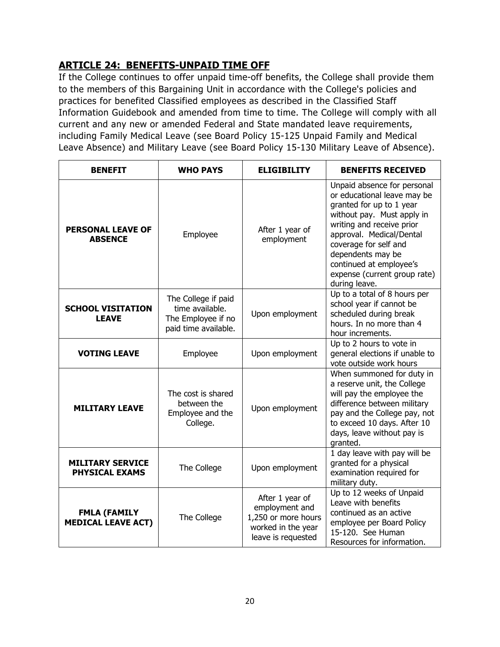## <span id="page-20-0"></span>**ARTICLE 24: BENEFITS-UNPAID TIME OFF**

If the College continues to offer unpaid time-off benefits, the College shall provide them to the members of this Bargaining Unit in accordance with the College's policies and practices for benefited Classified employees as described in the Classified Staff Information Guidebook and amended from time to time. The College will comply with all current and any new or amended Federal and State mandated leave requirements, including Family Medical Leave (see Board Policy 15-125 Unpaid Family and Medical Leave Absence) and Military Leave (see Board Policy 15-130 Military Leave of Absence).

| <b>BENEFIT</b>                                   | <b>WHO PAYS</b>                                                                      | <b>ELIGIBILITY</b>                                                                                   | <b>BENEFITS RECEIVED</b>                                                                                                                                                                                                                                                                                |
|--------------------------------------------------|--------------------------------------------------------------------------------------|------------------------------------------------------------------------------------------------------|---------------------------------------------------------------------------------------------------------------------------------------------------------------------------------------------------------------------------------------------------------------------------------------------------------|
| <b>PERSONAL LEAVE OF</b><br><b>ABSENCE</b>       | Employee                                                                             | After 1 year of<br>employment                                                                        | Unpaid absence for personal<br>or educational leave may be<br>granted for up to 1 year<br>without pay. Must apply in<br>writing and receive prior<br>approval. Medical/Dental<br>coverage for self and<br>dependents may be<br>continued at employee's<br>expense (current group rate)<br>during leave. |
| <b>SCHOOL VISITATION</b><br><b>LEAVE</b>         | The College if paid<br>time available.<br>The Employee if no<br>paid time available. | Upon employment                                                                                      | Up to a total of 8 hours per<br>school year if cannot be<br>scheduled during break<br>hours. In no more than 4<br>hour increments.                                                                                                                                                                      |
| <b>VOTING LEAVE</b>                              | Employee                                                                             | Upon employment                                                                                      | Up to 2 hours to vote in<br>general elections if unable to<br>vote outside work hours                                                                                                                                                                                                                   |
| <b>MILITARY LEAVE</b>                            | The cost is shared<br>between the<br>Employee and the<br>College.                    | Upon employment                                                                                      | When summoned for duty in<br>a reserve unit, the College<br>will pay the employee the<br>difference between military<br>pay and the College pay, not<br>to exceed 10 days. After 10<br>days, leave without pay is<br>granted.                                                                           |
| <b>MILITARY SERVICE</b><br><b>PHYSICAL EXAMS</b> | The College                                                                          | Upon employment                                                                                      | 1 day leave with pay will be<br>granted for a physical<br>examination required for<br>military duty.                                                                                                                                                                                                    |
| <b>FMLA (FAMILY</b><br><b>MEDICAL LEAVE ACT)</b> | The College                                                                          | After 1 year of<br>employment and<br>1,250 or more hours<br>worked in the year<br>leave is requested | Up to 12 weeks of Unpaid<br>Leave with benefits<br>continued as an active<br>employee per Board Policy<br>15-120. See Human<br>Resources for information.                                                                                                                                               |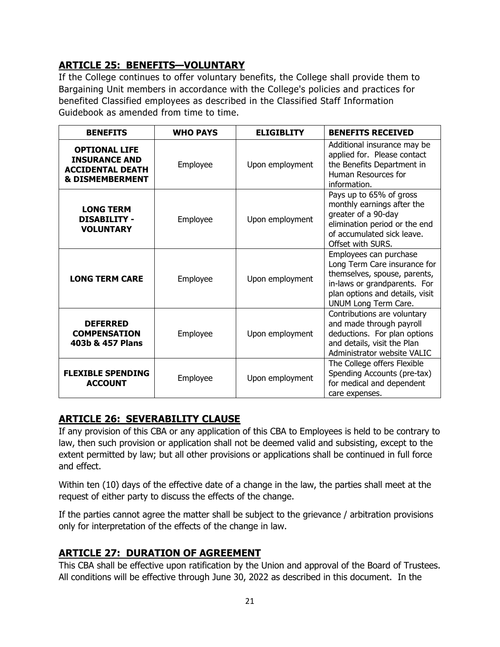## <span id="page-21-0"></span>**ARTICLE 25: BENEFITS—VOLUNTARY**

If the College continues to offer voluntary benefits, the College shall provide them to Bargaining Unit members in accordance with the College's policies and practices for benefited Classified employees as described in the Classified Staff Information Guidebook as amended from time to time.

| <b>BENEFITS</b>                                                                                       | <b>WHO PAYS</b> | <b>ELIGIBLITY</b> | <b>BENEFITS RECEIVED</b>                                                                                                                                                          |
|-------------------------------------------------------------------------------------------------------|-----------------|-------------------|-----------------------------------------------------------------------------------------------------------------------------------------------------------------------------------|
| <b>OPTIONAL LIFE</b><br><b>INSURANCE AND</b><br><b>ACCIDENTAL DEATH</b><br><b>&amp; DISMEMBERMENT</b> | Employee        | Upon employment   | Additional insurance may be<br>applied for. Please contact<br>the Benefits Department in<br>Human Resources for<br>information.                                                   |
| <b>LONG TERM</b><br><b>DISABILITY -</b><br><b>VOLUNTARY</b>                                           | Employee        | Upon employment   | Pays up to 65% of gross<br>monthly earnings after the<br>greater of a 90-day<br>elimination period or the end<br>of accumulated sick leave.<br>Offset with SURS.                  |
| <b>LONG TERM CARE</b>                                                                                 | Employee        | Upon employment   | Employees can purchase<br>Long Term Care insurance for<br>themselves, spouse, parents,<br>in-laws or grandparents. For<br>plan options and details, visit<br>UNUM Long Term Care. |
| <b>DEFERRED</b><br><b>COMPENSATION</b><br>403b & 457 Plans                                            | Employee        | Upon employment   | Contributions are voluntary<br>and made through payroll<br>deductions. For plan options<br>and details, visit the Plan<br>Administrator website VALIC                             |
| <b>FLEXIBLE SPENDING</b><br><b>ACCOUNT</b>                                                            | Employee        | Upon employment   | The College offers Flexible<br>Spending Accounts (pre-tax)<br>for medical and dependent<br>care expenses.                                                                         |

## <span id="page-21-1"></span>**ARTICLE 26: SEVERABILITY CLAUSE**

If any provision of this CBA or any application of this CBA to Employees is held to be contrary to law, then such provision or application shall not be deemed valid and subsisting, except to the extent permitted by law; but all other provisions or applications shall be continued in full force and effect.

Within ten (10) days of the effective date of a change in the law, the parties shall meet at the request of either party to discuss the effects of the change.

If the parties cannot agree the matter shall be subject to the grievance / arbitration provisions only for interpretation of the effects of the change in law.

## <span id="page-21-2"></span>**ARTICLE 27: DURATION OF AGREEMENT**

This CBA shall be effective upon ratification by the Union and approval of the Board of Trustees. All conditions will be effective through June 30, 2022 as described in this document. In the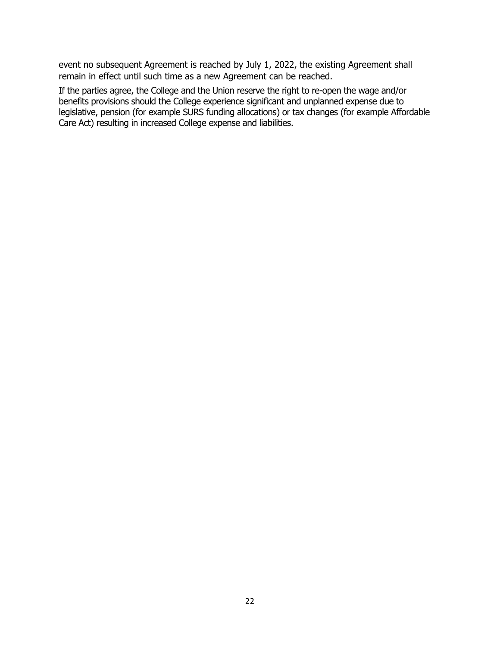event no subsequent Agreement is reached by July 1, 2022, the existing Agreement shall remain in effect until such time as a new Agreement can be reached.

If the parties agree, the College and the Union reserve the right to re-open the wage and/or benefits provisions should the College experience significant and unplanned expense due to legislative, pension (for example SURS funding allocations) or tax changes (for example Affordable Care Act) resulting in increased College expense and liabilities.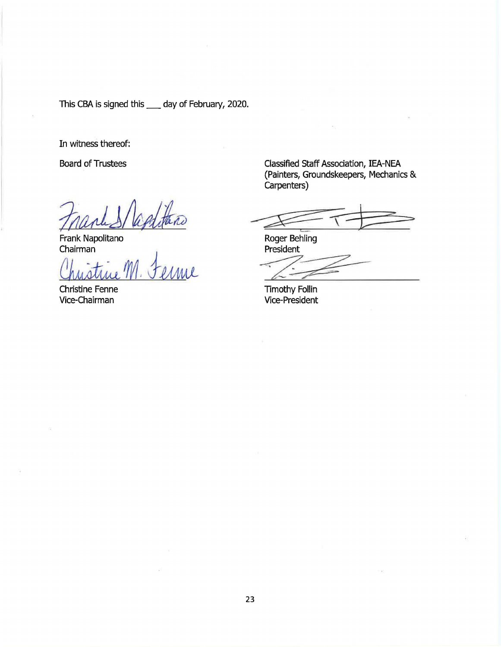This CBA is signed this \_\_\_ day of February, 2020.

In witness thereof:

Board of Trustees

Frank Napolitano Chairman

a*g*dtano

Christine Fenne Vice-Chairman

Classified Staff Association, IEA-NEA (Painters, Groundskeepers, Mechanics & Carpenters)

Roger Behling<br>President<br>Timothy Follin<br>Vice-President

Roger Behling President

Timothy Follin

Vice-President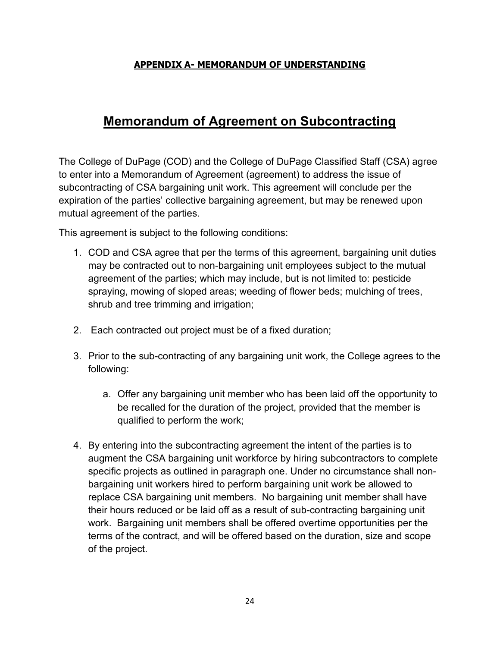#### **APPENDIX A- MEMORANDUM OF UNDERSTANDING**

# **Memorandum of Agreement on Subcontracting**

The College of DuPage (COD) and the College of DuPage Classified Staff (CSA) agree to enter into a Memorandum of Agreement (agreement) to address the issue of subcontracting of CSA bargaining unit work. This agreement will conclude per the expiration of the parties' collective bargaining agreement, but may be renewed upon mutual agreement of the parties.

This agreement is subject to the following conditions:

- 1. COD and CSA agree that per the terms of this agreement, bargaining unit duties may be contracted out to non-bargaining unit employees subject to the mutual agreement of the parties; which may include, but is not limited to: pesticide spraying, mowing of sloped areas; weeding of flower beds; mulching of trees, shrub and tree trimming and irrigation;
- 2. Each contracted out project must be of a fixed duration;
- 3. Prior to the sub-contracting of any bargaining unit work, the College agrees to the following:
	- a. Offer any bargaining unit member who has been laid off the opportunity to be recalled for the duration of the project, provided that the member is qualified to perform the work;
- 4. By entering into the subcontracting agreement the intent of the parties is to augment the CSA bargaining unit workforce by hiring subcontractors to complete specific projects as outlined in paragraph one. Under no circumstance shall nonbargaining unit workers hired to perform bargaining unit work be allowed to replace CSA bargaining unit members. No bargaining unit member shall have their hours reduced or be laid off as a result of sub-contracting bargaining unit work. Bargaining unit members shall be offered overtime opportunities per the terms of the contract, and will be offered based on the duration, size and scope of the project.